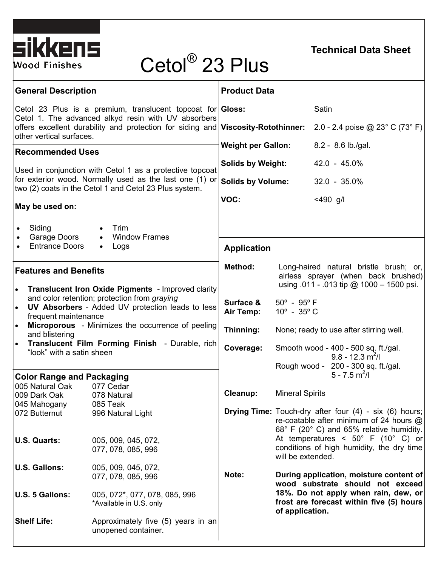

## **Technical Data Sheet**

# Cetol® 23 Plus

| <b>General Description</b>                                                                                                            | <b>Product Data</b>                                                                                                                                      |
|---------------------------------------------------------------------------------------------------------------------------------------|----------------------------------------------------------------------------------------------------------------------------------------------------------|
| Cetol 23 Plus is a premium, translucent topcoat for Gloss:<br>Cetol 1. The advanced alkyd resin with UV absorbers                     | Satin                                                                                                                                                    |
| offers excellent durability and protection for siding and Viscosity-Rotothinner:<br>other vertical surfaces.                          | 2.0 - 2.4 poise @ 23 $^{\circ}$ C (73 $^{\circ}$ F)                                                                                                      |
| <b>Recommended Uses</b>                                                                                                               | 8.2 - 8.6 lb./gal.<br><b>Weight per Gallon:</b>                                                                                                          |
| Used in conjunction with Cetol 1 as a protective topcoat                                                                              | <b>Solids by Weight:</b><br>42.0 - 45.0%                                                                                                                 |
| for exterior wood. Normally used as the last one (1) or<br>two (2) coats in the Cetol 1 and Cetol 23 Plus system.                     | <b>Solids by Volume:</b><br>$32.0 - 35.0\%$                                                                                                              |
| May be used on:                                                                                                                       | VOC:<br>$<$ 490 g/l                                                                                                                                      |
| Siding<br>Trim<br>٠<br>Garage Doors<br>• Window Frames                                                                                |                                                                                                                                                          |
| <b>Entrance Doors</b><br>Logs<br>$\bullet$                                                                                            | <b>Application</b>                                                                                                                                       |
| <b>Features and Benefits</b><br><b>Translucent Iron Oxide Pigments</b> - Improved clarity<br>$\bullet$                                | Method:<br>Long-haired natural bristle brush; or,<br>airless sprayer (when back brushed)<br>using $.011 - .013$ tip @ 1000 - 1500 psi.                   |
| and color retention; protection from graying<br>UV Absorbers - Added UV protection leads to less<br>$\bullet$<br>frequent maintenance | Surface &<br>$50^{\circ}$ - $95^{\circ}$ F<br>Air Temp:<br>$10^{\circ}$ - 35 $^{\circ}$ C                                                                |
| <b>Microporous</b> - Minimizes the occurrence of peeling<br>$\bullet$<br>and blistering                                               | Thinning:<br>None; ready to use after stirring well.                                                                                                     |
| Translucent Film Forming Finish - Durable, rich<br>"look" with a satin sheen                                                          | Coverage:<br>Smooth wood - 400 - 500 sq. ft./gal.<br>$9.8 - 12.3$ m <sup>2</sup> /l<br>Rough wood - 200 - 300 sq. ft./gal.                               |
| <b>Color Range and Packaging</b>                                                                                                      | $5 - 7.5$ m <sup>2</sup> /l                                                                                                                              |
| 005 Natural Oak<br>077 Cedar<br>009 Dark Oak<br>078 Natural                                                                           | <b>Mineral Spirits</b><br>Cleanup:                                                                                                                       |
| 085 Teak<br>045 Mahogany<br>072 Butternut<br>996 Natural Light                                                                        | <b>Drying Time:</b> Touch-dry after four $(4)$ - six $(6)$ hours;<br>re-coatable after minimum of 24 hours @<br>68° F (20° C) and 65% relative humidity. |
| U.S. Quarts:<br>005, 009, 045, 072,<br>077, 078, 085, 996                                                                             | At temperatures < $50^{\circ}$ F (10° C) or<br>conditions of high humidity, the dry time<br>will be extended.                                            |
| <b>U.S. Gallons:</b><br>005, 009, 045, 072,<br>077, 078, 085, 996                                                                     | Note:<br>During application, moisture content of<br>wood substrate should not exceed                                                                     |
| U.S. 5 Gallons:<br>005, 072*, 077, 078, 085, 996<br>*Available in U.S. only                                                           | 18%. Do not apply when rain, dew, or<br>frost are forecast within five (5) hours<br>of application.                                                      |
| <b>Shelf Life:</b><br>Approximately five (5) years in an<br>unopened container.                                                       |                                                                                                                                                          |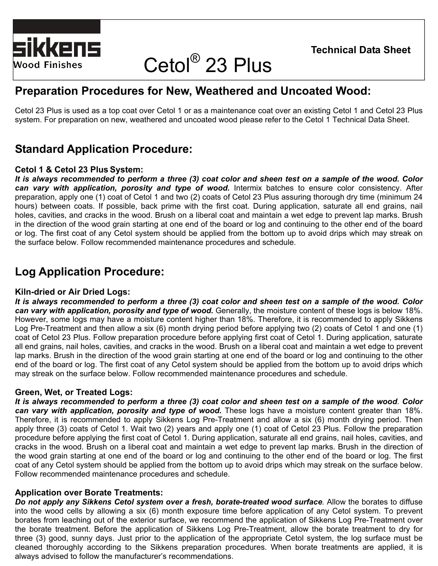

## Cetol® 23 Plus

## **Preparation Procedures for New, Weathered and Uncoated Wood:**

Cetol 23 Plus is used as a top coat over Cetol 1 or as a maintenance coat over an existing Cetol 1 and Cetol 23 Plus system. For preparation on new, weathered and uncoated wood please refer to the Cetol 1 Technical Data Sheet.

## **Standard Application Procedure:**

#### **Cetol 1 & Cetol 23 Plus System:**

*It is always recommended to perform a three (3) coat color and sheen test on a sample of the wood***.** *Color can vary with application, porosity and type of wood.* Intermix batches to ensure color consistency. After preparation, apply one (1) coat of Cetol 1 and two (2) coats of Cetol 23 Plus assuring thorough dry time (minimum 24 hours) between coats. If possible, back prime with the first coat. During application, saturate all end grains, nail holes, cavities, and cracks in the wood. Brush on a liberal coat and maintain a wet edge to prevent lap marks. Brush in the direction of the wood grain starting at one end of the board or log and continuing to the other end of the board or log. The first coat of any Cetol system should be applied from the bottom up to avoid drips which may streak on the surface below. Follow recommended maintenance procedures and schedule.

## **Log Application Procedure:**

#### **Kiln-dried or Air Dried Logs:**

*It is always recommended to perform a three (3) coat color and sheen test on a sample of the wood. Color can vary with application, porosity and type of wood.* Generally, the moisture content of these logs is below 18%. However, some logs may have a moisture content higher than 18%. Therefore, it is recommended to apply Sikkens Log Pre-Treatment and then allow a six (6) month drying period before applying two (2) coats of Cetol 1 and one (1) coat of Cetol 23 Plus. Follow preparation procedure before applying first coat of Cetol 1. During application, saturate all end grains, nail holes, cavities, and cracks in the wood. Brush on a liberal coat and maintain a wet edge to prevent lap marks. Brush in the direction of the wood grain starting at one end of the board or log and continuing to the other end of the board or log. The first coat of any Cetol system should be applied from the bottom up to avoid drips which may streak on the surface below. Follow recommended maintenance procedures and schedule.

#### **Green, Wet, or Treated Logs:**

*It is always recommended to perform a three (3) coat color and sheen test on a sample of the wood*. *Color*  can vary with application, porosity and type of wood. These logs have a moisture content greater than 18%. Therefore, it is recommended to apply Sikkens Log Pre-Treatment and allow a six (6) month drying period. Then apply three (3) coats of Cetol 1. Wait two (2) years and apply one (1) coat of Cetol 23 Plus. Follow the preparation procedure before applying the first coat of Cetol 1. During application, saturate all end grains, nail holes, cavities, and cracks in the wood. Brush on a liberal coat and maintain a wet edge to prevent lap marks. Brush in the direction of the wood grain starting at one end of the board or log and continuing to the other end of the board or log. The first coat of any Cetol system should be applied from the bottom up to avoid drips which may streak on the surface below. Follow recommended maintenance procedures and schedule.

#### **Application over Borate Treatments:**

*Do not apply any Sikkens Cetol system over a fresh, borate-treated wood surface.* Allow the borates to diffuse into the wood cells by allowing a six (6) month exposure time before application of any Cetol system. To prevent borates from leaching out of the exterior surface, we recommend the application of Sikkens Log Pre-Treatment over the borate treatment. Before the application of Sikkens Log Pre-Treatment, allow the borate treatment to dry for three (3) good, sunny days. Just prior to the application of the appropriate Cetol system, the log surface must be cleaned thoroughly according to the Sikkens preparation procedures. When borate treatments are applied, it is always advised to follow the manufacturer's recommendations.